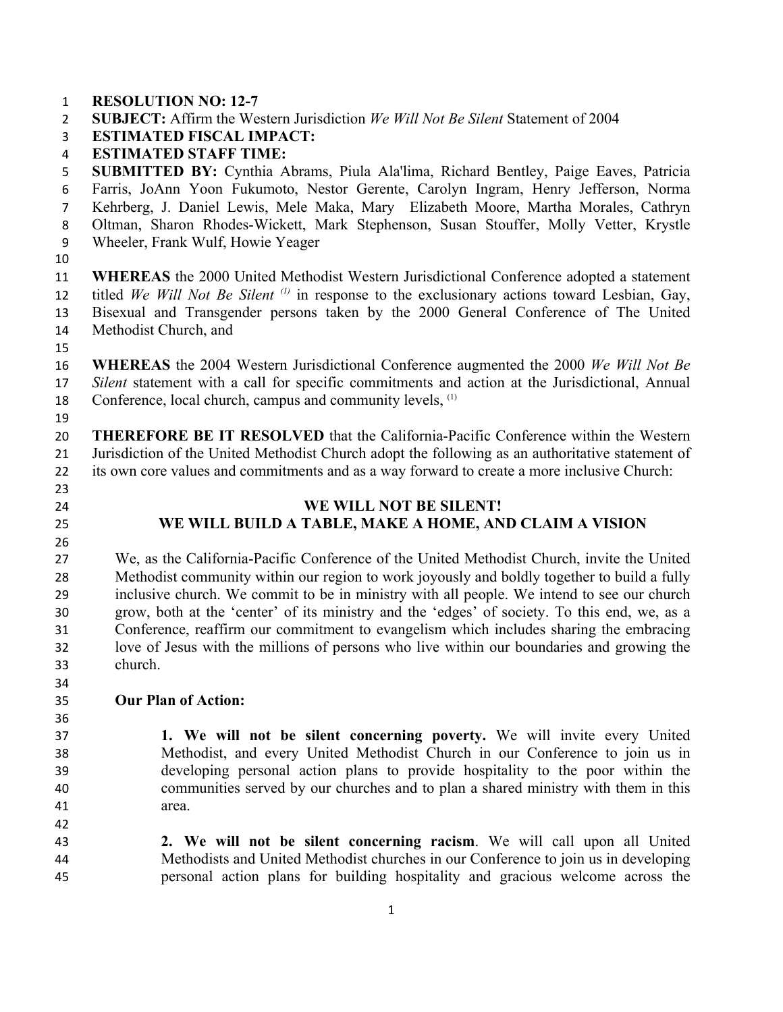- **RESOLUTION NO: 12-7**
- **SUBJECT:** Affirm the Western Jurisdiction *We Will Not Be Silent* Statement of 2004
- **ESTIMATED FISCAL IMPACT:**
- **ESTIMATED STAFF TIME:**

 **SUBMITTED BY:** Cynthia Abrams, Piula Ala'lima, Richard Bentley, Paige Eaves, Patricia Farris, JoAnn Yoon Fukumoto, Nestor Gerente, Carolyn Ingram, Henry Jefferson, Norma Kehrberg, J. Daniel Lewis, Mele Maka, Mary Elizabeth Moore, Martha Morales, Cathryn Oltman, Sharon Rhodes-Wickett, Mark Stephenson, Susan Stouffer, Molly Vetter, Krystle Wheeler, Frank Wulf, Howie Yeager

 **WHEREAS** the 2000 United Methodist Western Jurisdictional Conference adopted a statement 12 titled *We Will Not Be Silent* <sup>(1)</sup> in response to the exclusionary actions toward Lesbian, Gay, Bisexual and Transgender persons taken by the 2000 General Conference of The United Methodist Church, and

 **WHEREAS** the 2004 Western Jurisdictional Conference augmented the 2000 *We Will Not Be Silent* statement with a call for specific commitments and action at the Jurisdictional, Annual 18 Conference, local church, campus and community levels, <sup>(1)</sup>

 **THEREFORE BE IT RESOLVED** that the California-Pacific Conference within the Western Jurisdiction of the United Methodist Church adopt the following as an authoritative statement of its own core values and commitments and as a way forward to create a more inclusive Church:

- 
- 

# **WE WILL NOT BE SILENT! WE WILL BUILD A TABLE, MAKE A HOME, AND CLAIM A VISION**

 We, as the California-Pacific Conference of the United Methodist Church, invite the United Methodist community within our region to work joyously and boldly together to build a fully inclusive church. We commit to be in ministry with all people. We intend to see our church grow, both at the 'center' of its ministry and the 'edges' of society. To this end, we, as a Conference, reaffirm our commitment to evangelism which includes sharing the embracing love of Jesus with the millions of persons who live within our boundaries and growing the church.

## **Our Plan of Action:**

 **1. We will not be silent concerning poverty.** We will invite every United Methodist, and every United Methodist Church in our Conference to join us in developing personal action plans to provide hospitality to the poor within the communities served by our churches and to plan a shared ministry with them in this area.

 **2. We will not be silent concerning racism**. We will call upon all United Methodists and United Methodist churches in our Conference to join us in developing personal action plans for building hospitality and gracious welcome across the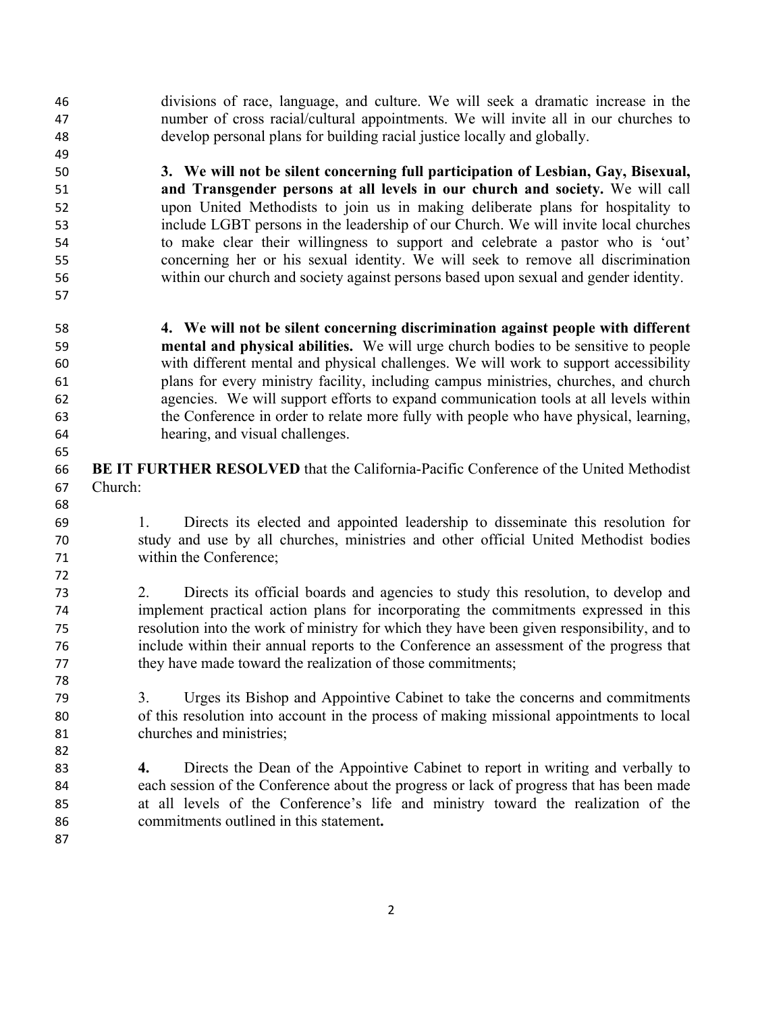divisions of race, language, and culture. We will seek a dramatic increase in the number of cross racial/cultural appointments. We will invite all in our churches to develop personal plans for building racial justice locally and globally.

 **3. We will not be silent concerning full participation of Lesbian, Gay, Bisexual, and Transgender persons at all levels in our church and society.** We will call upon United Methodists to join us in making deliberate plans for hospitality to include LGBT persons in the leadership of our Church. We will invite local churches to make clear their willingness to support and celebrate a pastor who is 'out' concerning her or his sexual identity. We will seek to remove all discrimination within our church and society against persons based upon sexual and gender identity.

- **4. We will not be silent concerning discrimination against people with different mental and physical abilities.** We will urge church bodies to be sensitive to people with different mental and physical challenges. We will work to support accessibility plans for every ministry facility, including campus ministries, churches, and church agencies. We will support efforts to expand communication tools at all levels within the Conference in order to relate more fully with people who have physical, learning, hearing, and visual challenges.
- **BE IT FURTHER RESOLVED** that the California-Pacific Conference of the United Methodist Church:
- 1. Directs its elected and appointed leadership to disseminate this resolution for study and use by all churches, ministries and other official United Methodist bodies within the Conference;
- 2. Directs its official boards and agencies to study this resolution, to develop and implement practical action plans for incorporating the commitments expressed in this resolution into the work of ministry for which they have been given responsibility, and to include within their annual reports to the Conference an assessment of the progress that they have made toward the realization of those commitments;
- 3. Urges its Bishop and Appointive Cabinet to take the concerns and commitments of this resolution into account in the process of making missional appointments to local churches and ministries;
- **4.** Directs the Dean of the Appointive Cabinet to report in writing and verbally to each session of the Conference about the progress or lack of progress that has been made at all levels of the Conference's life and ministry toward the realization of the commitments outlined in this statement**.**
	-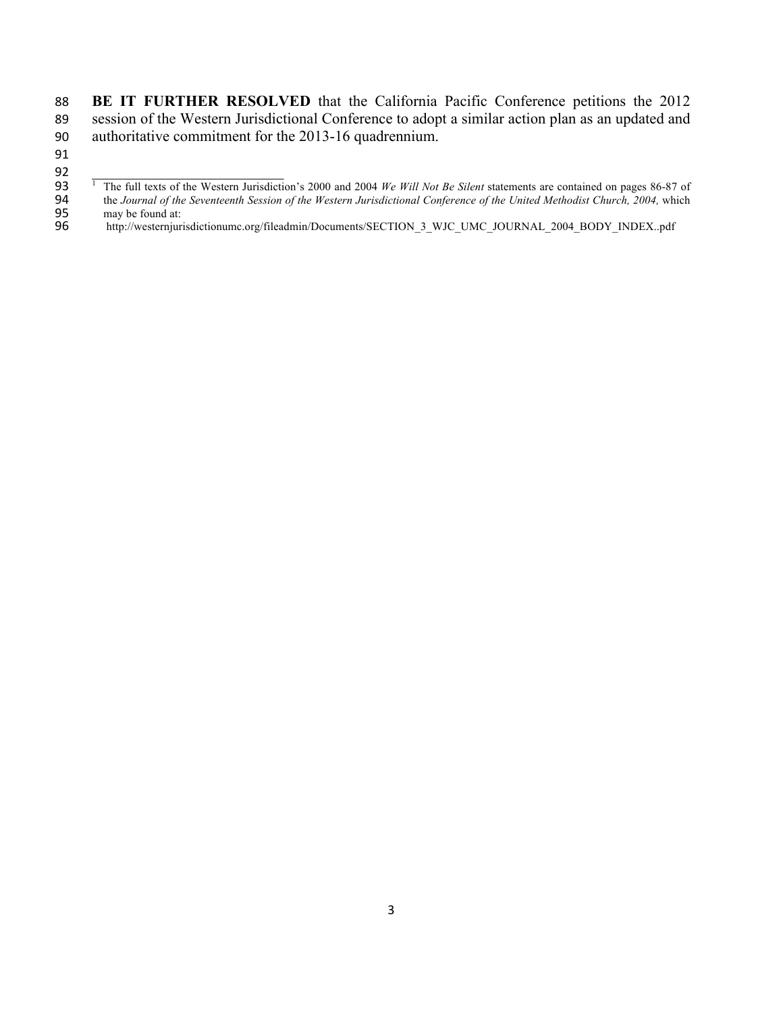88 **BE IT FURTHER RESOLVED** that the California Pacific Conference petitions the 2012 89 session of the Western Jurisdictional Conference to adopt a similar action plan as an updated and 90 authoritative commitment for the 2013-16 quadrennium.

- 91
- $92$

95 may be found at:<br>96 http://westernjur http://westernjurisdictionumc.org/fileadmin/Documents/SECTION\_3\_WJC\_UMC\_JOURNAL\_2004\_BODY\_INDEX..pdf

<sup>&</sup>lt;sup>1</sup> The full texts of the Western Jurisdiction's 2000 and 2004 *We Will Not Be Silent* statements are contained on pages 86-87 of the *Journal of the Seventeenth Session of the Western Jurisdictional Conference of the Unit* 94 the *Journal of the Seventeenth Session of the Western Jurisdictional Conference of the United Methodist Church, 2004, which<br>95 may be found at:*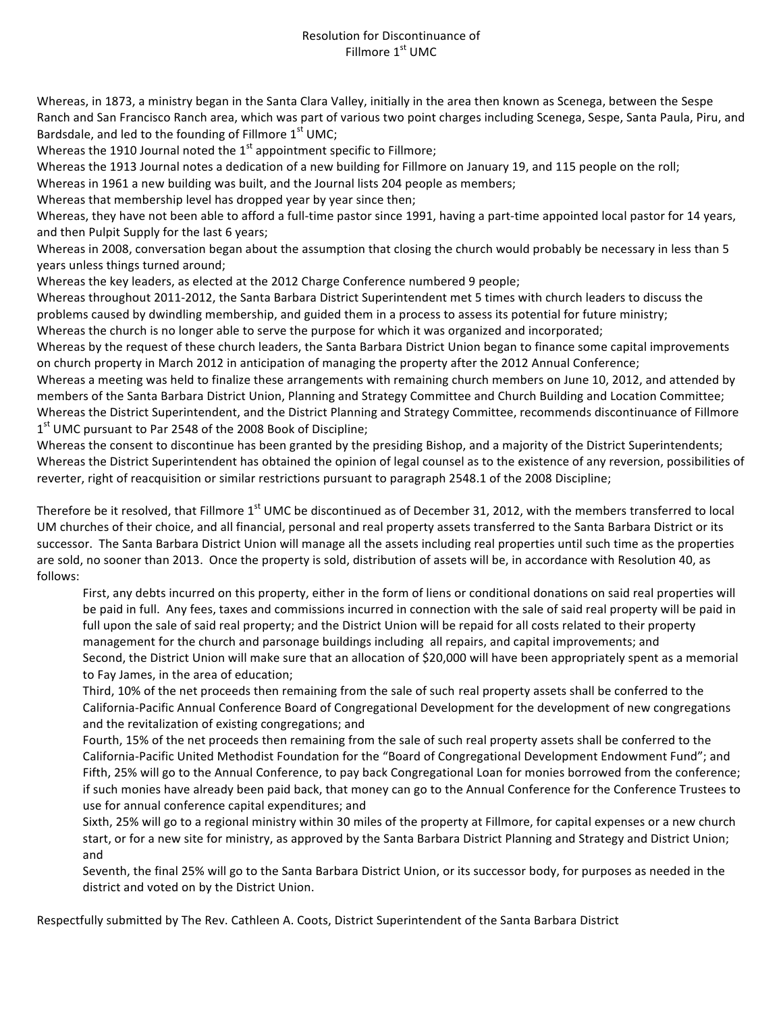### Resolution for Discontinuance of Fillmore  $1<sup>st</sup>$  UMC

Whereas, in 1873, a ministry began in the Santa Clara Valley, initially in the area then known as Scenega, between the Sespe Ranch and San Francisco Ranch area, which was part of various two point charges including Scenega, Sespe, Santa Paula, Piru, and Bardsdale, and led to the founding of Fillmore  $1<sup>st</sup>$  UMC;

Whereas the 1910 Journal noted the  $1<sup>st</sup>$  appointment specific to Fillmore;

Whereas the 1913 Journal notes a dedication of a new building for Fillmore on January 19, and 115 people on the roll;

Whereas in 1961 a new building was built, and the Journal lists 204 people as members;

Whereas that membership level has dropped year by year since then;

Whereas, they have not been able to afford a full-time pastor since 1991, having a part-time appointed local pastor for 14 years, and then Pulpit Supply for the last 6 years;

Whereas in 2008, conversation began about the assumption that closing the church would probably be necessary in less than 5 years unless things turned around;

Whereas the key leaders, as elected at the 2012 Charge Conference numbered 9 people;

Whereas throughout 2011-2012, the Santa Barbara District Superintendent met 5 times with church leaders to discuss the problems caused by dwindling membership, and guided them in a process to assess its potential for future ministry; Whereas the church is no longer able to serve the purpose for which it was organized and incorporated;

Whereas by the request of these church leaders, the Santa Barbara District Union began to finance some capital improvements on church property in March 2012 in anticipation of managing the property after the 2012 Annual Conference;

Whereas a meeting was held to finalize these arrangements with remaining church members on June 10, 2012, and attended by members of the Santa Barbara District Union, Planning and Strategy Committee and Church Building and Location Committee; Whereas the District Superintendent, and the District Planning and Strategy Committee, recommends discontinuance of Fillmore  $1<sup>st</sup>$  UMC pursuant to Par 2548 of the 2008 Book of Discipline;

Whereas the consent to discontinue has been granted by the presiding Bishop, and a majority of the District Superintendents; Whereas the District Superintendent has obtained the opinion of legal counsel as to the existence of any reversion, possibilities of reverter, right of reacquisition or similar restrictions pursuant to paragraph 2548.1 of the 2008 Discipline;

Therefore be it resolved, that Fillmore  $1^{st}$  UMC be discontinued as of December 31, 2012, with the members transferred to local UM churches of their choice, and all financial, personal and real property assets transferred to the Santa Barbara District or its successor. The Santa Barbara District Union will manage all the assets including real properties until such time as the properties are sold, no sooner than 2013. Once the property is sold, distribution of assets will be, in accordance with Resolution 40, as follows:

First, any debts incurred on this property, either in the form of liens or conditional donations on said real properties will be paid in full. Any fees, taxes and commissions incurred in connection with the sale of said real property will be paid in full upon the sale of said real property; and the District Union will be repaid for all costs related to their property management for the church and parsonage buildings including all repairs, and capital improvements; and Second, the District Union will make sure that an allocation of \$20,000 will have been appropriately spent as a memorial to Fay James, in the area of education;

Third, 10% of the net proceeds then remaining from the sale of such real property assets shall be conferred to the California-Pacific Annual Conference Board of Congregational Development for the development of new congregations and the revitalization of existing congregations; and

Fourth, 15% of the net proceeds then remaining from the sale of such real property assets shall be conferred to the California-Pacific United Methodist Foundation for the "Board of Congregational Development Endowment Fund"; and Fifth, 25% will go to the Annual Conference, to pay back Congregational Loan for monies borrowed from the conference; if such monies have already been paid back, that money can go to the Annual Conference for the Conference Trustees to use for annual conference capital expenditures; and

Sixth, 25% will go to a regional ministry within 30 miles of the property at Fillmore, for capital expenses or a new church start, or for a new site for ministry, as approved by the Santa Barbara District Planning and Strategy and District Union; and 

Seventh, the final 25% will go to the Santa Barbara District Union, or its successor body, for purposes as needed in the district and voted on by the District Union.

Respectfully submitted by The Rev. Cathleen A. Coots, District Superintendent of the Santa Barbara District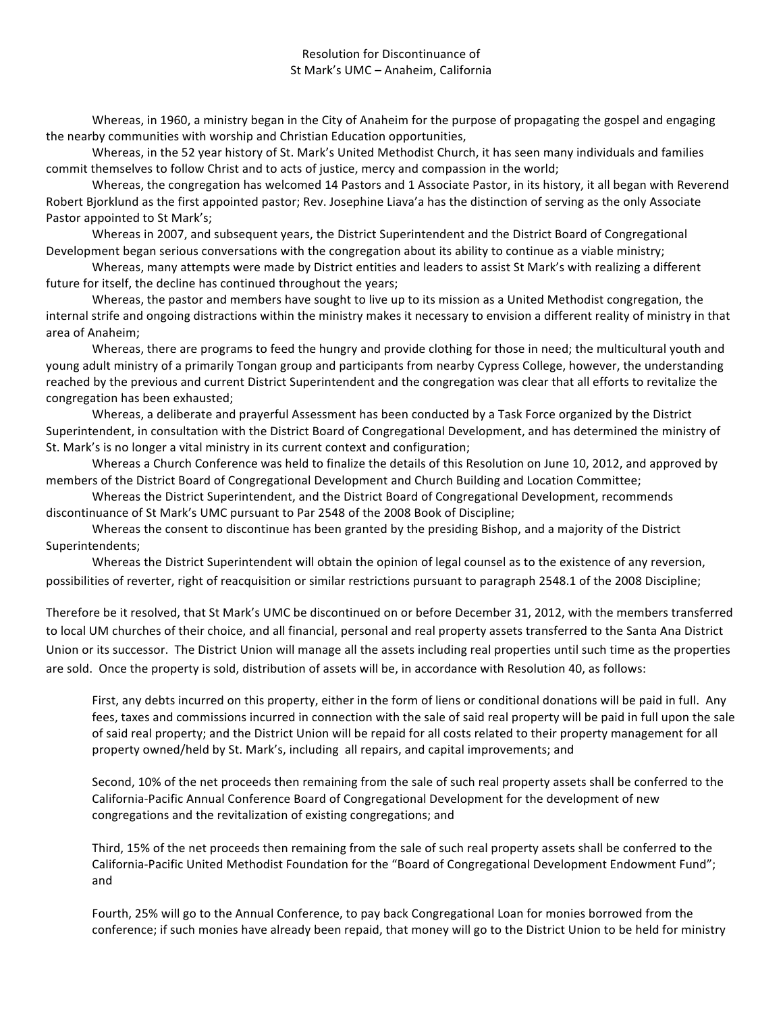#### Resolution for Discontinuance of St Mark's UMC - Anaheim, California

Whereas, in 1960, a ministry began in the City of Anaheim for the purpose of propagating the gospel and engaging the nearby communities with worship and Christian Education opportunities,

Whereas, in the 52 year history of St. Mark's United Methodist Church, it has seen many individuals and families commit themselves to follow Christ and to acts of justice, mercy and compassion in the world;

Whereas, the congregation has welcomed 14 Pastors and 1 Associate Pastor, in its history, it all began with Reverend Robert Bjorklund as the first appointed pastor; Rev. Josephine Liava'a has the distinction of serving as the only Associate Pastor appointed to St Mark's;

Whereas in 2007, and subsequent years, the District Superintendent and the District Board of Congregational Development began serious conversations with the congregation about its ability to continue as a viable ministry;

Whereas, many attempts were made by District entities and leaders to assist St Mark's with realizing a different future for itself, the decline has continued throughout the years;

Whereas, the pastor and members have sought to live up to its mission as a United Methodist congregation, the internal strife and ongoing distractions within the ministry makes it necessary to envision a different reality of ministry in that area of Anaheim;

Whereas, there are programs to feed the hungry and provide clothing for those in need; the multicultural youth and young adult ministry of a primarily Tongan group and participants from nearby Cypress College, however, the understanding reached by the previous and current District Superintendent and the congregation was clear that all efforts to revitalize the congregation has been exhausted;

Whereas, a deliberate and prayerful Assessment has been conducted by a Task Force organized by the District Superintendent, in consultation with the District Board of Congregational Development, and has determined the ministry of St. Mark's is no longer a vital ministry in its current context and configuration;

Whereas a Church Conference was held to finalize the details of this Resolution on June 10, 2012, and approved by members of the District Board of Congregational Development and Church Building and Location Committee;

Whereas the District Superintendent, and the District Board of Congregational Development, recommends discontinuance of St Mark's UMC pursuant to Par 2548 of the 2008 Book of Discipline;

Whereas the consent to discontinue has been granted by the presiding Bishop, and a majority of the District Superintendents;

Whereas the District Superintendent will obtain the opinion of legal counsel as to the existence of any reversion, possibilities of reverter, right of reacquisition or similar restrictions pursuant to paragraph 2548.1 of the 2008 Discipline;

Therefore be it resolved, that St Mark's UMC be discontinued on or before December 31, 2012, with the members transferred to local UM churches of their choice, and all financial, personal and real property assets transferred to the Santa Ana District Union or its successor. The District Union will manage all the assets including real properties until such time as the properties are sold. Once the property is sold, distribution of assets will be, in accordance with Resolution 40, as follows:

First, any debts incurred on this property, either in the form of liens or conditional donations will be paid in full. Any fees, taxes and commissions incurred in connection with the sale of said real property will be paid in full upon the sale of said real property; and the District Union will be repaid for all costs related to their property management for all property owned/held by St. Mark's, including all repairs, and capital improvements; and

Second, 10% of the net proceeds then remaining from the sale of such real property assets shall be conferred to the California-Pacific Annual Conference Board of Congregational Development for the development of new congregations and the revitalization of existing congregations; and

Third, 15% of the net proceeds then remaining from the sale of such real property assets shall be conferred to the California-Pacific United Methodist Foundation for the "Board of Congregational Development Endowment Fund"; and

Fourth, 25% will go to the Annual Conference, to pay back Congregational Loan for monies borrowed from the conference; if such monies have already been repaid, that money will go to the District Union to be held for ministry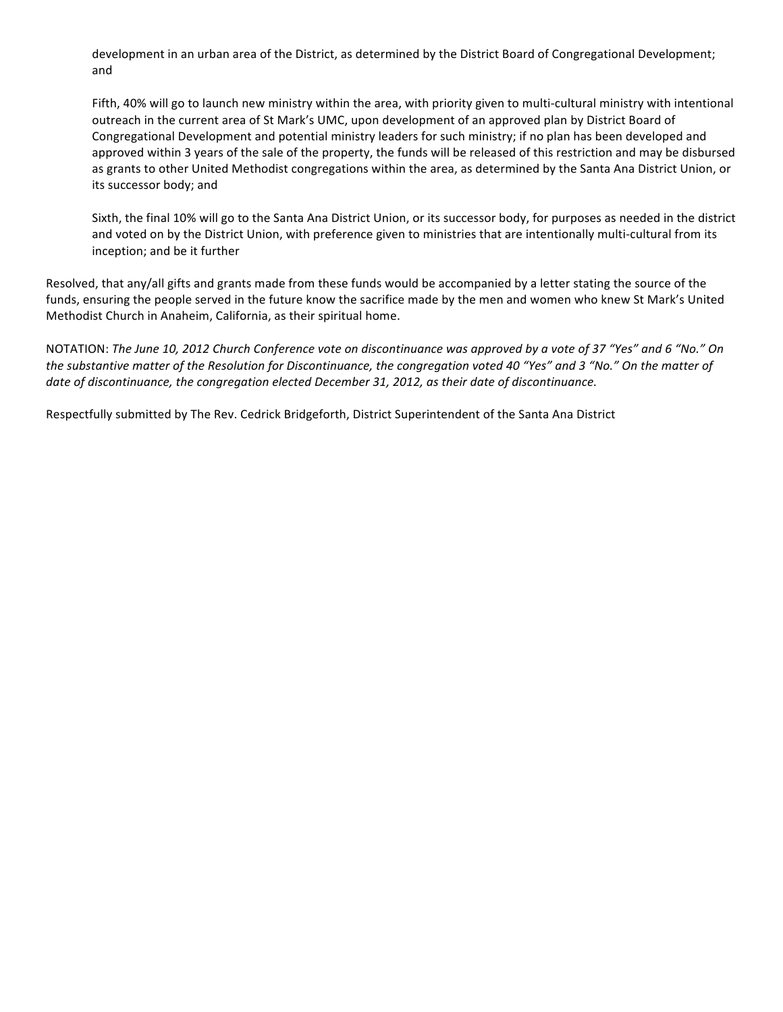development in an urban area of the District, as determined by the District Board of Congregational Development; and

Fifth, 40% will go to launch new ministry within the area, with priority given to multi-cultural ministry with intentional outreach in the current area of St Mark's UMC, upon development of an approved plan by District Board of Congregational Development and potential ministry leaders for such ministry; if no plan has been developed and approved within 3 years of the sale of the property, the funds will be released of this restriction and may be disbursed as grants to other United Methodist congregations within the area, as determined by the Santa Ana District Union, or its successor body; and

Sixth, the final 10% will go to the Santa Ana District Union, or its successor body, for purposes as needed in the district and voted on by the District Union, with preference given to ministries that are intentionally multi-cultural from its inception; and be it further

Resolved, that any/all gifts and grants made from these funds would be accompanied by a letter stating the source of the funds, ensuring the people served in the future know the sacrifice made by the men and women who knew St Mark's United Methodist Church in Anaheim, California, as their spiritual home.

NOTATION: The June 10, 2012 Church Conference vote on discontinuance was approved by a vote of 37 "Yes" and 6 "No." On the substantive matter of the Resolution for Discontinuance, the congregation voted 40 "Yes" and 3 "No." On the matter of date of discontinuance, the congregation elected December 31, 2012, as their date of discontinuance.

Respectfully submitted by The Rev. Cedrick Bridgeforth, District Superintendent of the Santa Ana District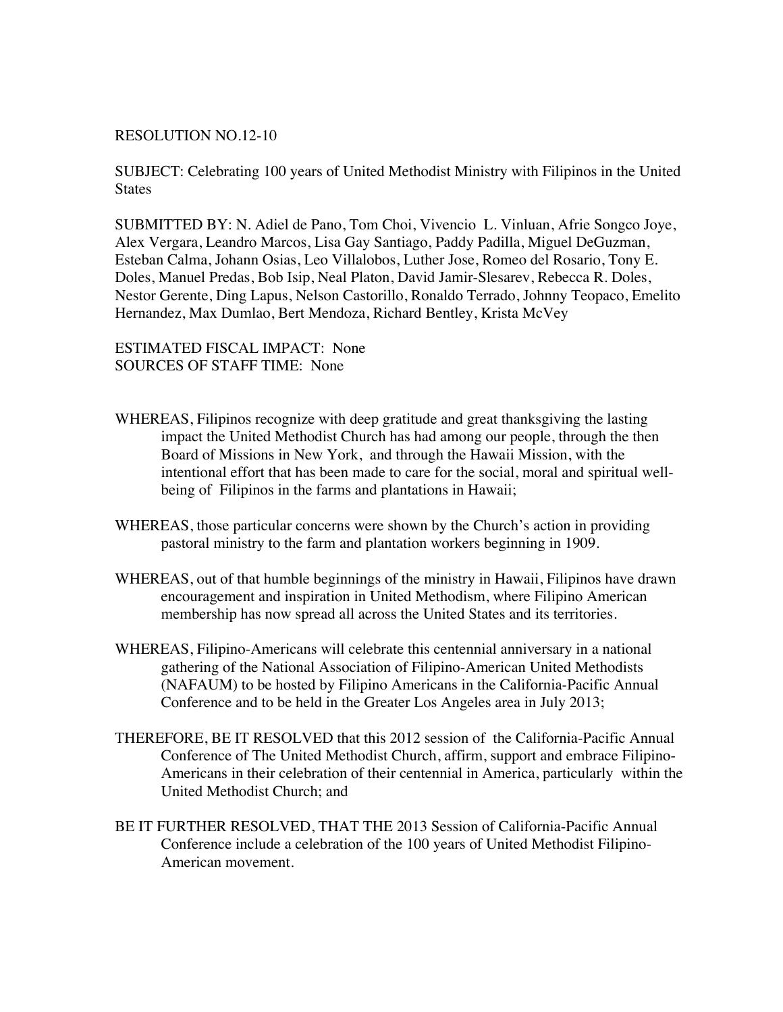### RESOLUTION NO.12-10

SUBJECT: Celebrating 100 years of United Methodist Ministry with Filipinos in the United **States** 

SUBMITTED BY: N. Adiel de Pano, Tom Choi, Vivencio L. Vinluan, Afrie Songco Joye, Alex Vergara, Leandro Marcos, Lisa Gay Santiago, Paddy Padilla, Miguel DeGuzman, Esteban Calma, Johann Osias, Leo Villalobos, Luther Jose, Romeo del Rosario, Tony E. Doles, Manuel Predas, Bob Isip, Neal Platon, David Jamir-Slesarev, Rebecca R. Doles, Nestor Gerente, Ding Lapus, Nelson Castorillo, Ronaldo Terrado, Johnny Teopaco, Emelito Hernandez, Max Dumlao, Bert Mendoza, Richard Bentley, Krista McVey

ESTIMATED FISCAL IMPACT: None SOURCES OF STAFF TIME: None

- WHEREAS, Filipinos recognize with deep gratitude and great thanksgiving the lasting impact the United Methodist Church has had among our people, through the then Board of Missions in New York, and through the Hawaii Mission, with the intentional effort that has been made to care for the social, moral and spiritual wellbeing of Filipinos in the farms and plantations in Hawaii;
- WHEREAS, those particular concerns were shown by the Church's action in providing pastoral ministry to the farm and plantation workers beginning in 1909.
- WHEREAS, out of that humble beginnings of the ministry in Hawaii, Filipinos have drawn encouragement and inspiration in United Methodism, where Filipino American membership has now spread all across the United States and its territories.
- WHEREAS, Filipino-Americans will celebrate this centennial anniversary in a national gathering of the National Association of Filipino-American United Methodists (NAFAUM) to be hosted by Filipino Americans in the California-Pacific Annual Conference and to be held in the Greater Los Angeles area in July 2013;
- THEREFORE, BE IT RESOLVED that this 2012 session of the California-Pacific Annual Conference of The United Methodist Church, affirm, support and embrace Filipino-Americans in their celebration of their centennial in America, particularly within the United Methodist Church; and
- BE IT FURTHER RESOLVED, THAT THE 2013 Session of California-Pacific Annual Conference include a celebration of the 100 years of United Methodist Filipino-American movement.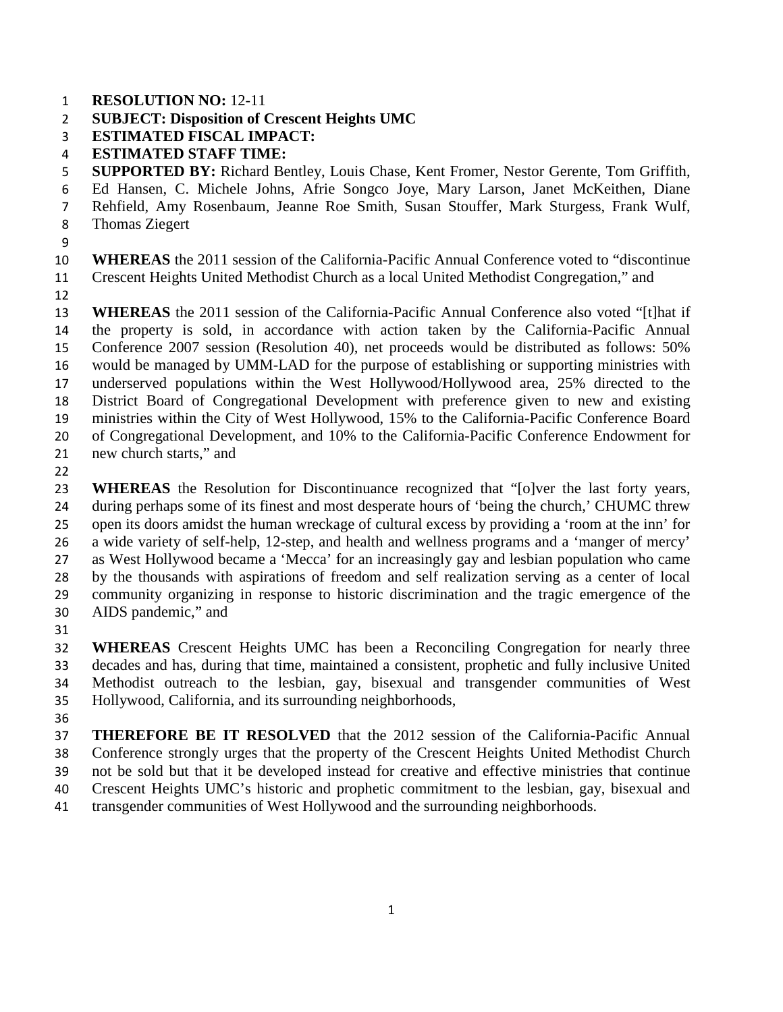- **RESOLUTION NO:** 12-11
- **SUBJECT: Disposition of Crescent Heights UMC**
- **ESTIMATED FISCAL IMPACT:**
- **ESTIMATED STAFF TIME:**
- **SUPPORTED BY:** Richard Bentley, Louis Chase, Kent Fromer, Nestor Gerente, Tom Griffith,
- Ed Hansen, C. Michele Johns, Afrie Songco Joye, Mary Larson, Janet McKeithen, Diane
- Rehfield, Amy Rosenbaum, Jeanne Roe Smith, Susan Stouffer, Mark Sturgess, Frank Wulf,
- Thomas Ziegert
- 

**WHEREAS** the 2011 session of the California-Pacific Annual Conference voted to "discontinue Crescent Heights United Methodist Church as a local United Methodist Congregation," and

**WHEREAS** the 2011 session of the California-Pacific Annual Conference also voted "[t]hat if the property is sold, in accordance with action taken by the California-Pacific Annual Conference 2007 session (Resolution 40), net proceeds would be distributed as follows: 50% would be managed by UMM-LAD for the purpose of establishing or supporting ministries with underserved populations within the West Hollywood/Hollywood area, 25% directed to the District Board of Congregational Development with preference given to new and existing ministries within the City of West Hollywood, 15% to the California-Pacific Conference Board of Congregational Development, and 10% to the California-Pacific Conference Endowment for new church starts," and

**WHEREAS** the Resolution for Discontinuance recognized that "[o]ver the last forty years, during perhaps some of its finest and most desperate hours of 'being the church,' CHUMC threw open its doors amidst the human wreckage of cultural excess by providing a 'room at the inn' for a wide variety of self-help, 12-step, and health and wellness programs and a 'manger of mercy' as West Hollywood became a 'Mecca' for an increasingly gay and lesbian population who came by the thousands with aspirations of freedom and self realization serving as a center of local community organizing in response to historic discrimination and the tragic emergence of the AIDS pandemic," and

**WHEREAS** Crescent Heights UMC has been a Reconciling Congregation for nearly three decades and has, during that time, maintained a consistent, prophetic and fully inclusive United Methodist outreach to the lesbian, gay, bisexual and transgender communities of West Hollywood, California, and its surrounding neighborhoods,

**THEREFORE BE IT RESOLVED** that the 2012 session of the California-Pacific Annual Conference strongly urges that the property of the Crescent Heights United Methodist Church not be sold but that it be developed instead for creative and effective ministries that continue Crescent Heights UMC's historic and prophetic commitment to the lesbian, gay, bisexual and transgender communities of West Hollywood and the surrounding neighborhoods.